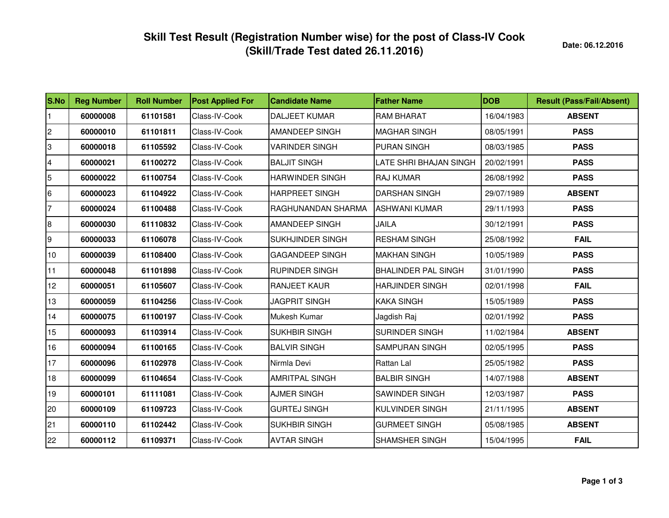**Date: 06.12.2016**

| S.No            | <b>Reg Number</b> | <b>Roll Number</b> | <b>Post Applied For</b> | <b>Candidate Name</b>  | <b>Father Name</b>         | <b>DOB</b> | <b>Result (Pass/Fail/Absent)</b> |
|-----------------|-------------------|--------------------|-------------------------|------------------------|----------------------------|------------|----------------------------------|
|                 | 60000008          | 61101581           | Class-IV-Cook           | <b>DALJEET KUMAR</b>   | <b>RAM BHARAT</b>          | 16/04/1983 | <b>ABSENT</b>                    |
| 2               | 60000010          | 61101811           | Class-IV-Cook           | <b>AMANDEEP SINGH</b>  | <b>MAGHAR SINGH</b>        | 08/05/1991 | <b>PASS</b>                      |
| 3               | 60000018          | 61105592           | Class-IV-Cook           | <b>VARINDER SINGH</b>  | <b>PURAN SINGH</b>         | 08/03/1985 | <b>PASS</b>                      |
| 4               | 60000021          | 61100272           | Class-IV-Cook           | <b>BALJIT SINGH</b>    | LATE SHRI BHAJAN SINGH     | 20/02/1991 | <b>PASS</b>                      |
| 5               | 60000022          | 61100754           | Class-IV-Cook           | <b>HARWINDER SINGH</b> | <b>RAJ KUMAR</b>           | 26/08/1992 | <b>PASS</b>                      |
| 6               | 60000023          | 61104922           | Class-IV-Cook           | <b>HARPREET SINGH</b>  | <b>DARSHAN SINGH</b>       | 29/07/1989 | <b>ABSENT</b>                    |
| $\overline{7}$  | 60000024          | 61100488           | Class-IV-Cook           | RAGHUNANDAN SHARMA     | ASHWANI KUMAR              | 29/11/1993 | <b>PASS</b>                      |
| 8               | 60000030          | 61110832           | Class-IV-Cook           | <b>AMANDEEP SINGH</b>  | <b>JAILA</b>               | 30/12/1991 | <b>PASS</b>                      |
| 9               | 60000033          | 61106078           | Class-IV-Cook           | SUKHJINDER SINGH       | <b>RESHAM SINGH</b>        | 25/08/1992 | <b>FAIL</b>                      |
| 10 <sup>1</sup> | 60000039          | 61108400           | Class-IV-Cook           | <b>GAGANDEEP SINGH</b> | <b>MAKHAN SINGH</b>        | 10/05/1989 | <b>PASS</b>                      |
| 11              | 60000048          | 61101898           | Class-IV-Cook           | <b>RUPINDER SINGH</b>  | <b>BHALINDER PAL SINGH</b> | 31/01/1990 | <b>PASS</b>                      |
| 12              | 60000051          | 61105607           | Class-IV-Cook           | <b>RANJEET KAUR</b>    | <b>HARJINDER SINGH</b>     | 02/01/1998 | <b>FAIL</b>                      |
| 13              | 60000059          | 61104256           | Class-IV-Cook           | <b>JAGPRIT SINGH</b>   | <b>KAKA SINGH</b>          | 15/05/1989 | <b>PASS</b>                      |
| 14              | 60000075          | 61100197           | Class-IV-Cook           | Mukesh Kumar           | Jagdish Raj                | 02/01/1992 | <b>PASS</b>                      |
| 15              | 60000093          | 61103914           | Class-IV-Cook           | <b>SUKHBIR SINGH</b>   | SURINDER SINGH             | 11/02/1984 | <b>ABSENT</b>                    |
| 16              | 60000094          | 61100165           | Class-IV-Cook           | <b>BALVIR SINGH</b>    | <b>SAMPURAN SINGH</b>      | 02/05/1995 | <b>PASS</b>                      |
| 17              | 60000096          | 61102978           | Class-IV-Cook           | Nirmla Devi            | Rattan Lal                 | 25/05/1982 | <b>PASS</b>                      |
| 18              | 60000099          | 61104654           | Class-IV-Cook           | <b>AMRITPAL SINGH</b>  | <b>BALBIR SINGH</b>        | 14/07/1988 | <b>ABSENT</b>                    |
| 19              | 60000101          | 61111081           | Class-IV-Cook           | <b>AJMER SINGH</b>     | SAWINDER SINGH             | 12/03/1987 | <b>PASS</b>                      |
| 20              | 60000109          | 61109723           | Class-IV-Cook           | <b>GURTEJ SINGH</b>    | <b>KULVINDER SINGH</b>     | 21/11/1995 | <b>ABSENT</b>                    |
| 21              | 60000110          | 61102442           | Class-IV-Cook           | <b>SUKHBIR SINGH</b>   | <b>GURMEET SINGH</b>       | 05/08/1985 | <b>ABSENT</b>                    |
| 22              | 60000112          | 61109371           | Class-IV-Cook           | <b>AVTAR SINGH</b>     | <b>SHAMSHER SINGH</b>      | 15/04/1995 | <b>FAIL</b>                      |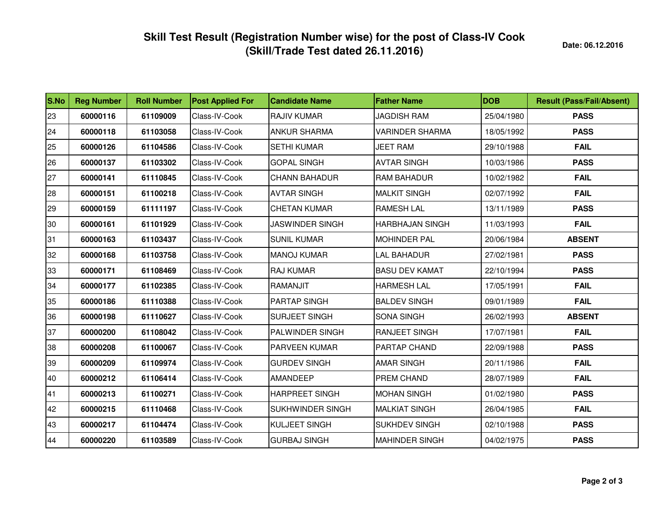| S.No | <b>Reg Number</b> | <b>Roll Number</b> | <b>Post Applied For</b> | <b>Candidate Name</b>  | <b>Father Name</b>     | <b>DOB</b> | <b>Result (Pass/Fail/Absent)</b> |
|------|-------------------|--------------------|-------------------------|------------------------|------------------------|------------|----------------------------------|
| 23   | 60000116          | 61109009           | Class-IV-Cook           | <b>RAJIV KUMAR</b>     | <b>JAGDISH RAM</b>     | 25/04/1980 | <b>PASS</b>                      |
| 24   | 60000118          | 61103058           | Class-IV-Cook           | <b>ANKUR SHARMA</b>    | <b>VARINDER SHARMA</b> | 18/05/1992 | <b>PASS</b>                      |
| 25   | 60000126          | 61104586           | Class-IV-Cook           | <b>SETHI KUMAR</b>     | <b>JEET RAM</b>        | 29/10/1988 | <b>FAIL</b>                      |
| 26   | 60000137          | 61103302           | Class-IV-Cook           | <b>GOPAL SINGH</b>     | <b>AVTAR SINGH</b>     | 10/03/1986 | <b>PASS</b>                      |
| 27   | 60000141          | 61110845           | Class-IV-Cook           | <b>CHANN BAHADUR</b>   | <b>RAM BAHADUR</b>     | 10/02/1982 | <b>FAIL</b>                      |
| 28   | 60000151          | 61100218           | Class-IV-Cook           | <b>AVTAR SINGH</b>     | <b>MALKIT SINGH</b>    | 02/07/1992 | <b>FAIL</b>                      |
| 29   | 60000159          | 61111197           | Class-IV-Cook           | <b>CHETAN KUMAR</b>    | <b>RAMESH LAL</b>      | 13/11/1989 | <b>PASS</b>                      |
| 30   | 60000161          | 61101929           | Class-IV-Cook           | <b>JASWINDER SINGH</b> | <b>HARBHAJAN SINGH</b> | 11/03/1993 | <b>FAIL</b>                      |
| 31   | 60000163          | 61103437           | Class-IV-Cook           | <b>SUNIL KUMAR</b>     | <b>MOHINDER PAL</b>    | 20/06/1984 | <b>ABSENT</b>                    |
| 32   | 60000168          | 61103758           | Class-IV-Cook           | <b>MANOJ KUMAR</b>     | <b>LAL BAHADUR</b>     | 27/02/1981 | <b>PASS</b>                      |
| 33   | 60000171          | 61108469           | Class-IV-Cook           | <b>RAJ KUMAR</b>       | <b>BASU DEV KAMAT</b>  | 22/10/1994 | <b>PASS</b>                      |
| 34   | 60000177          | 61102385           | Class-IV-Cook           | <b>RAMANJIT</b>        | <b>HARMESH LAL</b>     | 17/05/1991 | <b>FAIL</b>                      |
| 35   | 60000186          | 61110388           | Class-IV-Cook           | <b>PARTAP SINGH</b>    | <b>BALDEV SINGH</b>    | 09/01/1989 | <b>FAIL</b>                      |
| 36   | 60000198          | 61110627           | Class-IV-Cook           | SURJEET SINGH          | <b>SONA SINGH</b>      | 26/02/1993 | <b>ABSENT</b>                    |
| 37   | 60000200          | 61108042           | Class-IV-Cook           | <b>PALWINDER SINGH</b> | RANJEET SINGH          | 17/07/1981 | <b>FAIL</b>                      |
| 38   | 60000208          | 61100067           | Class-IV-Cook           | PARVEEN KUMAR          | PARTAP CHAND           | 22/09/1988 | <b>PASS</b>                      |
| 39   | 60000209          | 61109974           | Class-IV-Cook           | <b>GURDEV SINGH</b>    | <b>AMAR SINGH</b>      | 20/11/1986 | <b>FAIL</b>                      |
| 40   | 60000212          | 61106414           | Class-IV-Cook           | AMANDEEP               | PREM CHAND             | 28/07/1989 | <b>FAIL</b>                      |
| 41   | 60000213          | 61100271           | Class-IV-Cook           | <b>HARPREET SINGH</b>  | <b>MOHAN SINGH</b>     | 01/02/1980 | <b>PASS</b>                      |
| 42   | 60000215          | 61110468           | Class-IV-Cook           | SUKHWINDER SINGH       | <b>MALKIAT SINGH</b>   | 26/04/1985 | <b>FAIL</b>                      |
| 43   | 60000217          | 61104474           | Class-IV-Cook           | <b>KULJEET SINGH</b>   | <b>SUKHDEV SINGH</b>   | 02/10/1988 | <b>PASS</b>                      |
| 44   | 60000220          | 61103589           | Class-IV-Cook           | <b>GURBAJ SINGH</b>    | <b>MAHINDER SINGH</b>  | 04/02/1975 | <b>PASS</b>                      |